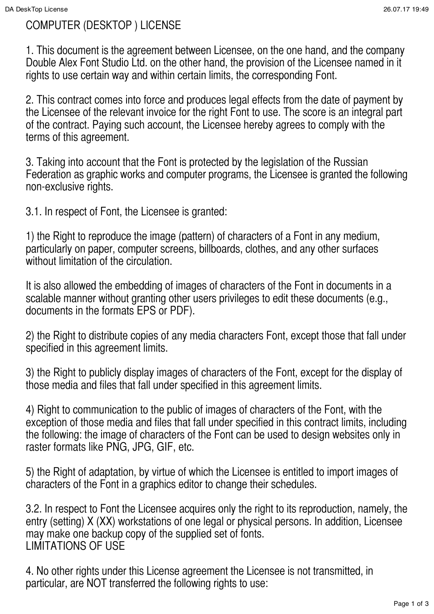# COMPUTER (DESKTOP ) LICENSE

1. This document is the agreement between Licensee, on the one hand, and the company Double Alex Font Studio Ltd. on the other hand, the provision of the Licensee named in it rights to use certain way and within certain limits, the corresponding Font.

2. This contract comes into force and produces legal effects from the date of payment by the Licensee of the relevant invoice for the right Font to use. The score is an integral part of the contract. Paying such account, the Licensee hereby agrees to comply with the terms of this agreement.

3. Taking into account that the Font is protected by the legislation of the Russian Federation as graphic works and computer programs, the Licensee is granted the following non-exclusive rights.

3.1. In respect of Font, the Licensee is granted:

1) the Right to reproduce the image (pattern) of characters of a Font in any medium, particularly on paper, computer screens, billboards, clothes, and any other surfaces without limitation of the circulation.

It is also allowed the embedding of images of characters of the Font in documents in a scalable manner without granting other users privileges to edit these documents (e.g., documents in the formats EPS or PDF).

2) the Right to distribute copies of any media characters Font, except those that fall under specified in this agreement limits.

3) the Right to publicly display images of characters of the Font, except for the display of those media and files that fall under specified in this agreement limits.

4) Right to communication to the public of images of characters of the Font, with the exception of those media and files that fall under specified in this contract limits, including the following: the image of characters of the Font can be used to design websites only in raster formats like PNG, JPG, GIF, etc.

5) the Right of adaptation, by virtue of which the Licensee is entitled to import images of characters of the Font in a graphics editor to change their schedules.

3.2. In respect to Font the Licensee acquires only the right to its reproduction, namely, the entry (setting) X (XX) workstations of one legal or physical persons. In addition, Licensee may make one backup copy of the supplied set of fonts. LIMITATIONS OF USE

4. No other rights under this License agreement the Licensee is not transmitted, in particular, are NOT transferred the following rights to use: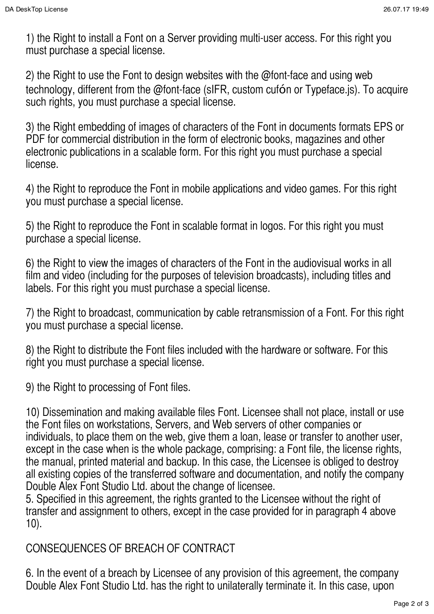1) the Right to install a Font on a Server providing multi-user access. For this right you must purchase a special license.

2) the Right to use the Font to design websites with the @font-face and using web technology, different from the @font-face (sIFR, custom cufón or Typeface.js). To acquire such rights, you must purchase a special license.

3) the Right embedding of images of characters of the Font in documents formats EPS or PDF for commercial distribution in the form of electronic books, magazines and other electronic publications in a scalable form. For this right you must purchase a special license.

4) the Right to reproduce the Font in mobile applications and video games. For this right you must purchase a special license.

5) the Right to reproduce the Font in scalable format in logos. For this right you must purchase a special license.

6) the Right to view the images of characters of the Font in the audiovisual works in all film and video (including for the purposes of television broadcasts), including titles and labels. For this right you must purchase a special license.

7) the Right to broadcast, communication by cable retransmission of a Font. For this right you must purchase a special license.

8) the Right to distribute the Font files included with the hardware or software. For this right you must purchase a special license.

9) the Right to processing of Font files.

10) Dissemination and making available files Font. Licensee shall not place, install or use the Font files on workstations, Servers, and Web servers of other companies or individuals, to place them on the web, give them a loan, lease or transfer to another user, except in the case when is the whole package, comprising: a Font file, the license rights, the manual, printed material and backup. In this case, the Licensee is obliged to destroy all existing copies of the transferred software and documentation, and notify the company Double Alex Font Studio Ltd. about the change of licensee.

5. Specified in this agreement, the rights granted to the Licensee without the right of transfer and assignment to others, except in the case provided for in paragraph 4 above 10).

## CONSEQUENCES OF BREACH OF CONTRACT

6. In the event of a breach by Licensee of any provision of this agreement, the company Double Alex Font Studio Ltd. has the right to unilaterally terminate it. In this case, upon